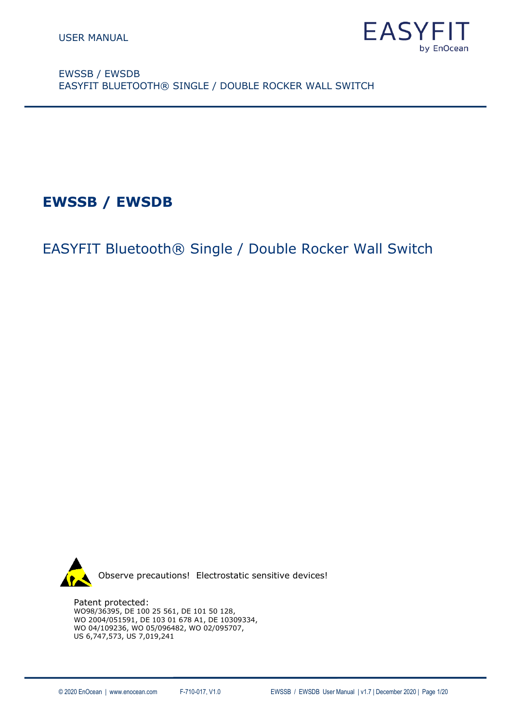

**EWSSB / EWSDB**

EASYFIT Bluetooth® Single / Double Rocker Wall Switch



Patent protected:

WO98/36395, DE 100 25 561, DE 101 50 128, WO 2004/051591, DE 103 01 678 A1, DE 10309334, WO 04/109236, WO 05/096482, WO 02/095707, US 6,747,573, US 7,019,241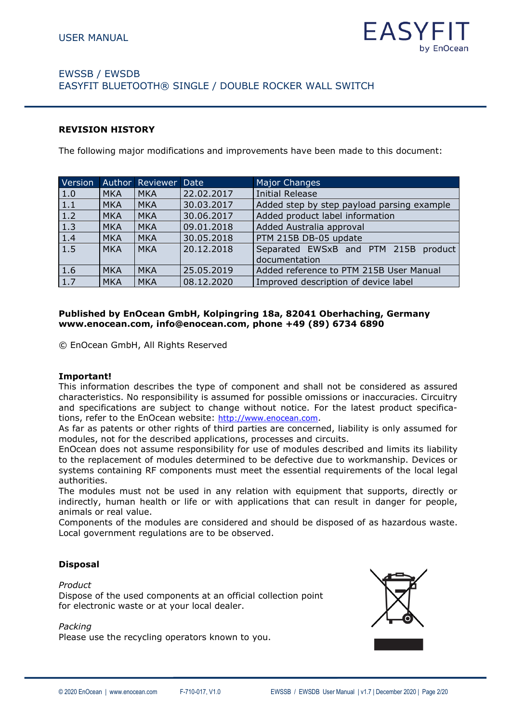

#### **REVISION HISTORY**

The following major modifications and improvements have been made to this document:

| Version |            | Author Reviewer | Date       | <b>Major Changes</b>                                  |
|---------|------------|-----------------|------------|-------------------------------------------------------|
| 1.0     | <b>MKA</b> | <b>MKA</b>      | 22.02.2017 | <b>Initial Release</b>                                |
| 1.1     | <b>MKA</b> | <b>MKA</b>      | 30.03.2017 | Added step by step payload parsing example            |
| 1.2     | <b>MKA</b> | <b>MKA</b>      | 30.06.2017 | Added product label information                       |
| 1.3     | <b>MKA</b> | <b>MKA</b>      | 09.01.2018 | Added Australia approval                              |
| 1.4     | <b>MKA</b> | <b>MKA</b>      | 30.05.2018 | PTM 215B DB-05 update                                 |
| 1.5     | <b>MKA</b> | <b>MKA</b>      | 20.12.2018 | Separated EWSxB and PTM 215B product<br>documentation |
| 1.6     | <b>MKA</b> | <b>MKA</b>      | 25.05.2019 | Added reference to PTM 215B User Manual               |
| 1.7     | <b>MKA</b> | <b>MKA</b>      | 08.12.2020 | Improved description of device label                  |

#### **Published by EnOcean GmbH, Kolpingring 18a, 82041 Oberhaching, Germany www.enocean.com, info@enocean.com, phone +49 (89) 6734 6890**

© EnOcean GmbH, All Rights Reserved

#### **Important!**

This information describes the type of component and shall not be considered as assured characteristics. No responsibility is assumed for possible omissions or inaccuracies. Circuitry and specifications are subject to change without notice. For the latest product specifications, refer to the EnOcean website: [http://www.enocean.com](http://www.enocean.com/).

As far as patents or other rights of third parties are concerned, liability is only assumed for modules, not for the described applications, processes and circuits.

EnOcean does not assume responsibility for use of modules described and limits its liability to the replacement of modules determined to be defective due to workmanship. Devices or systems containing RF components must meet the essential requirements of the local legal authorities.

The modules must not be used in any relation with equipment that supports, directly or indirectly, human health or life or with applications that can result in danger for people, animals or real value.

Components of the modules are considered and should be disposed of as hazardous waste. Local government regulations are to be observed.

#### **Disposal**

#### *Product*

Dispose of the used components at an official collection point for electronic waste or at your local dealer.

#### *Packing*

Please use the recycling operators known to you.

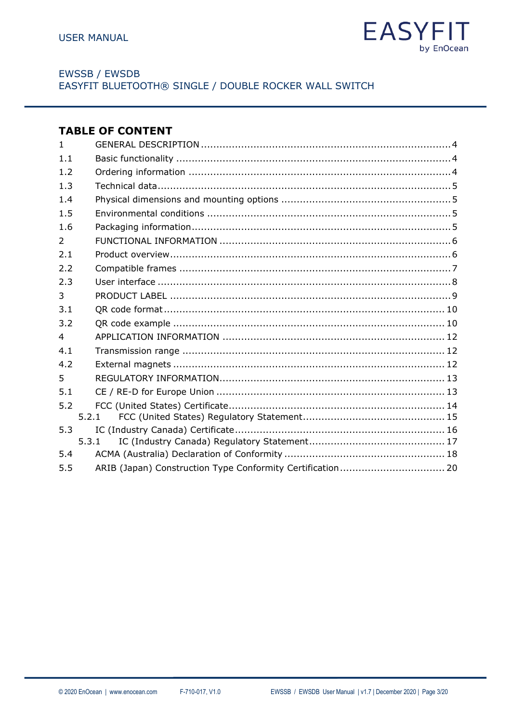

# **TABLE OF CONTENT**

| $\mathbf{1}$   |       |  |
|----------------|-------|--|
| 1.1            |       |  |
| 1.2            |       |  |
| 1.3            |       |  |
| 1.4            |       |  |
| 1.5            |       |  |
| 1.6            |       |  |
| $\overline{2}$ |       |  |
| 2.1            |       |  |
| 2.2            |       |  |
| 2.3            |       |  |
| 3              |       |  |
| 3.1            |       |  |
| 3.2            |       |  |
| $\overline{4}$ |       |  |
| 4.1            |       |  |
| 4.2            |       |  |
| 5              |       |  |
| 5.1            |       |  |
| 5.2            |       |  |
|                | 5.2.1 |  |
| 5.3            |       |  |
|                | 5.3.1 |  |
| 5.4            |       |  |
| 5.5            |       |  |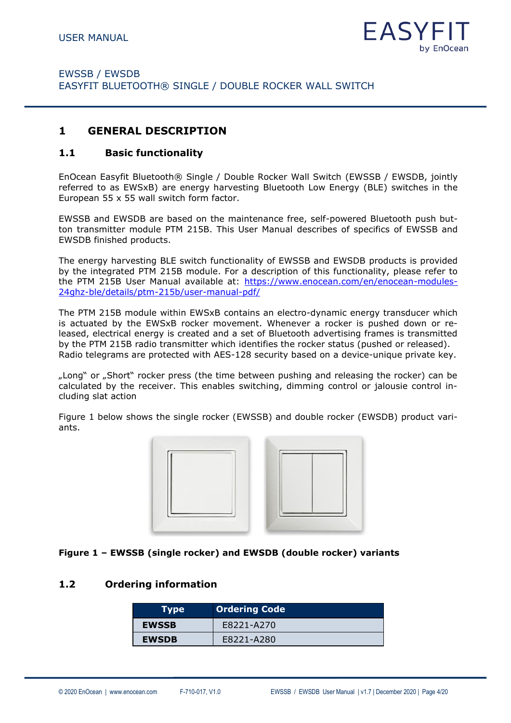

#### <span id="page-3-0"></span>**1 GENERAL DESCRIPTION**

#### <span id="page-3-1"></span>**1.1 Basic functionality**

EnOcean Easyfit Bluetooth® Single / Double Rocker Wall Switch (EWSSB / EWSDB, jointly referred to as EWSxB) are energy harvesting Bluetooth Low Energy (BLE) switches in the European 55 x 55 wall switch form factor.

EWSSB and EWSDB are based on the maintenance free, self-powered Bluetooth push button transmitter module PTM 215B. This User Manual describes of specifics of EWSSB and EWSDB finished products.

The energy harvesting BLE switch functionality of EWSSB and EWSDB products is provided by the integrated PTM 215B module. For a description of this functionality, please refer to the PTM 215B User Manual available at: [https://www.enocean.com/en/enocean-modules-](https://www.enocean.com/en/enocean-modules-24ghz-ble/details/ptm-215b/user-manual-pdf/)[24ghz-ble/details/ptm-215b/user-manual-pdf/](https://www.enocean.com/en/enocean-modules-24ghz-ble/details/ptm-215b/user-manual-pdf/)

The PTM 215B module within EWSxB contains an electro-dynamic energy transducer which is actuated by the EWSxB rocker movement. Whenever a rocker is pushed down or released, electrical energy is created and a set of Bluetooth advertising frames is transmitted by the PTM 215B radio transmitter which identifies the rocker status (pushed or released). Radio telegrams are protected with AES-128 security based on a device-unique private key.

"Long" or "Short" rocker press (the time between pushing and releasing the rocker) can be calculated by the receiver. This enables switching, dimming control or jalousie control including slat action

[Figure 1](#page-3-3) below shows the single rocker (EWSSB) and double rocker (EWSDB) product variants.



#### <span id="page-3-3"></span>**Figure 1 – EWSSB (single rocker) and EWSDB (double rocker) variants**

#### <span id="page-3-2"></span>**1.2 Ordering information**

| <b>Type</b>  | <b>Ordering Code</b> |
|--------------|----------------------|
| <b>EWSSB</b> | E8221-A270           |
| <b>EWSDB</b> | E8221-A280           |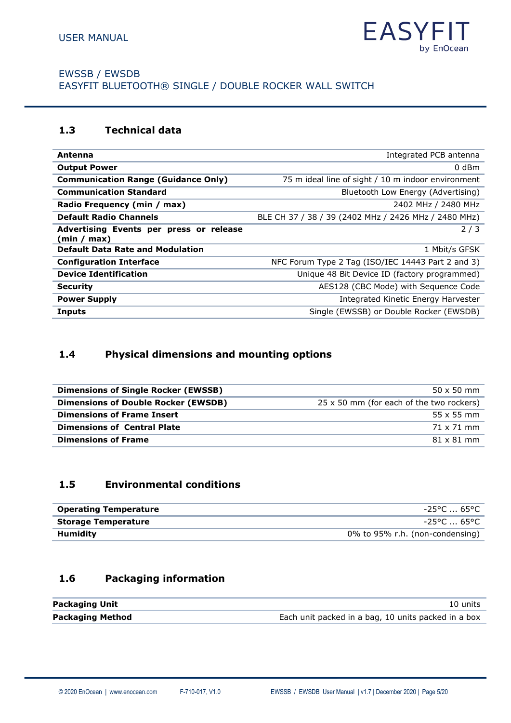

# <span id="page-4-0"></span>**1.3 Technical data**

| Antenna                                                | Integrated PCB antenna                               |
|--------------------------------------------------------|------------------------------------------------------|
| <b>Output Power</b>                                    | $0$ dBm                                              |
| <b>Communication Range (Guidance Only)</b>             | 75 m ideal line of sight / 10 m indoor environment   |
| <b>Communication Standard</b>                          | Bluetooth Low Energy (Advertising)                   |
| Radio Frequency (min / max)                            | 2402 MHz / 2480 MHz                                  |
| <b>Default Radio Channels</b>                          | BLE CH 37 / 38 / 39 (2402 MHz / 2426 MHz / 2480 MHz) |
| Advertising Events per press or release<br>(min / max) | 2/3                                                  |
| <b>Default Data Rate and Modulation</b>                | 1 Mbit/s GFSK                                        |
| <b>Configuration Interface</b>                         | NFC Forum Type 2 Tag (ISO/IEC 14443 Part 2 and 3)    |
| <b>Device Identification</b>                           | Unique 48 Bit Device ID (factory programmed)         |
| <b>Security</b>                                        | AES128 (CBC Mode) with Sequence Code                 |
| <b>Power Supply</b>                                    | Integrated Kinetic Energy Harvester                  |
| <b>Inputs</b>                                          | Single (EWSSB) or Double Rocker (EWSDB)              |
|                                                        |                                                      |

# <span id="page-4-1"></span>**1.4 Physical dimensions and mounting options**

| <b>Dimensions of Single Rocker (EWSSB)</b> | $50 \times 50$ mm                        |
|--------------------------------------------|------------------------------------------|
| <b>Dimensions of Double Rocker (EWSDB)</b> | 25 x 50 mm (for each of the two rockers) |
| <b>Dimensions of Frame Insert</b>          | $55x55$ mm                               |
| <b>Dimensions of Central Plate</b>         | 71 x 71 mm                               |
| <b>Dimensions of Frame</b>                 | $81 \times 81$ mm                        |

# <span id="page-4-2"></span>**1.5 Environmental conditions**

| <b>Operating Temperature</b> | -25°C  65°C                     |
|------------------------------|---------------------------------|
| <b>Storage Temperature</b>   | -25°C  65°C                     |
| Humidity                     | 0% to 95% r.h. (non-condensing) |

# <span id="page-4-3"></span>**1.6 Packaging information**

| <b>Packaging Unit</b>   | 10 units                                            |
|-------------------------|-----------------------------------------------------|
| <b>Packaging Method</b> | Each unit packed in a bag, 10 units packed in a box |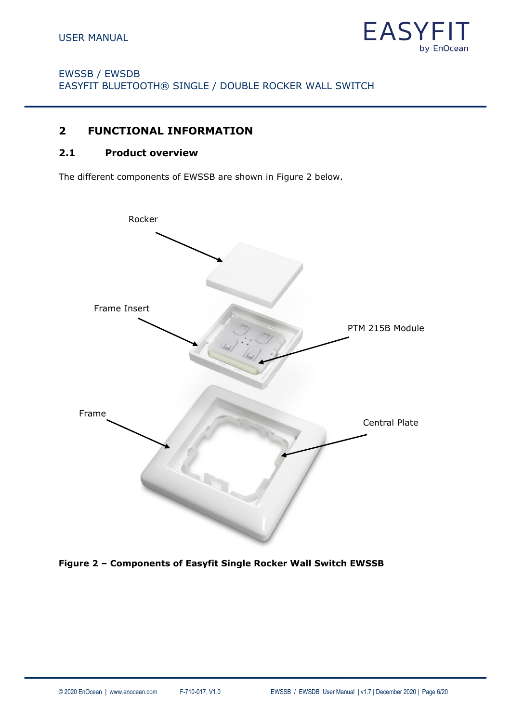

# <span id="page-5-0"></span>**2 FUNCTIONAL INFORMATION**

#### <span id="page-5-1"></span>**2.1 Product overview**

The different components of EWSSB are shown in [Figure 2](#page-5-2) below.



<span id="page-5-2"></span>**Figure 2 – Components of Easyfit Single Rocker Wall Switch EWSSB**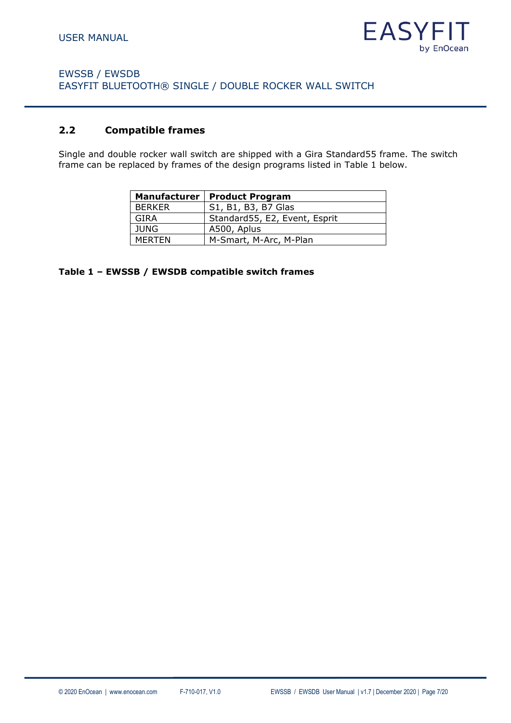

#### <span id="page-6-0"></span>**2.2 Compatible frames**

Single and double rocker wall switch are shipped with a Gira Standard55 frame. The switch frame can be replaced by frames of the design programs listed in [Table 1](#page-6-1) below.

|             | Manufacturer   Product Program |
|-------------|--------------------------------|
| BERKER      | S1, B1, B3, B7 Glas            |
| GIRA        | Standard55, E2, Event, Esprit  |
| <b>JUNG</b> | A500, Aplus                    |
| MERTEN      | M-Smart, M-Arc, M-Plan         |

<span id="page-6-1"></span>**Table 1 – EWSSB / EWSDB compatible switch frames**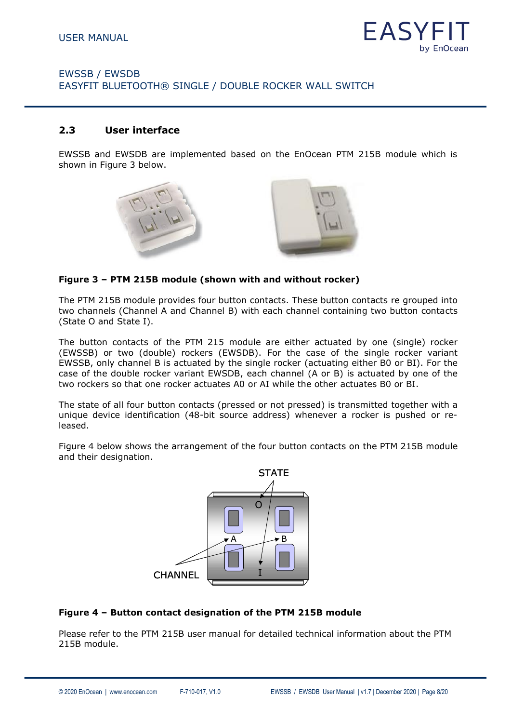

#### <span id="page-7-0"></span>**2.3 User interface**

EWSSB and EWSDB are implemented based on the EnOcean PTM 215B module which is shown in [Figure 3](#page-7-1) below.





#### <span id="page-7-1"></span>**Figure 3 – PTM 215B module (shown with and without rocker)**

The PTM 215B module provides four button contacts. These button contacts re grouped into two channels (Channel A and Channel B) with each channel containing two button contacts (State O and State I).

The button contacts of the PTM 215 module are either actuated by one (single) rocker (EWSSB) or two (double) rockers (EWSDB). For the case of the single rocker variant EWSSB, only channel B is actuated by the single rocker (actuating either B0 or BI). For the case of the double rocker variant EWSDB, each channel (A or B) is actuated by one of the two rockers so that one rocker actuates A0 or AI while the other actuates B0 or BI.

The state of all four button contacts (pressed or not pressed) is transmitted together with a unique device identification (48-bit source address) whenever a rocker is pushed or released.

[Figure 4](#page-7-2) below shows the arrangement of the four button contacts on the PTM 215B module and their designation.



#### <span id="page-7-2"></span>**Figure 4 – Button contact designation of the PTM 215B module**

Please refer to the PTM 215B user manual for detailed technical information about the PTM 215B module.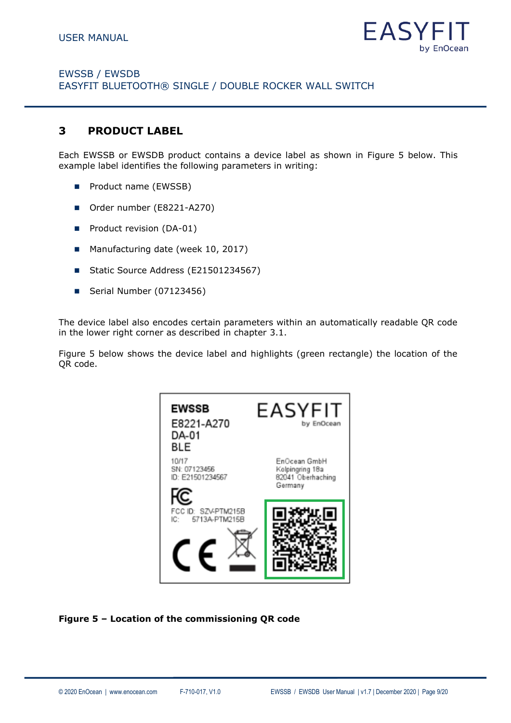

# <span id="page-8-0"></span>**3 PRODUCT LABEL**

Each EWSSB or EWSDB product contains a device label as shown in [Figure 5](#page-8-1) below. This example label identifies the following parameters in writing:

- Product name (EWSSB)
- Order number (E8221-A270)
- Product revision (DA-01)
- Manufacturing date (week 10, 2017)
- Static Source Address (E21501234567)
- Serial Number (07123456)

The device label also encodes certain parameters within an automatically readable QR code in the lower right corner as described in chapter [3.1.](#page-9-0)

[Figure 5](#page-8-1) below shows the device label and highlights (green rectangle) the location of the OR code.



#### <span id="page-8-1"></span>**Figure 5 – Location of the commissioning QR code**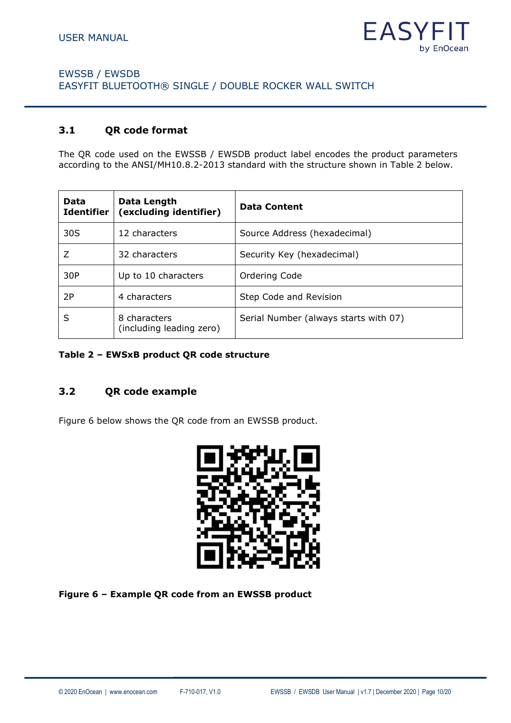

#### <span id="page-9-0"></span>**3.1 QR code format**

The QR code used on the EWSSB / EWSDB product label encodes the product parameters according to the ANSI/MH10.8.2-2013 standard with the structure shown in [Table 2](#page-9-2) below.

| Data<br><b>Identifier</b> | Data Length<br>(excluding identifier)    | <b>Data Content</b>                   |  |  |
|---------------------------|------------------------------------------|---------------------------------------|--|--|
| 30S                       | 12 characters                            | Source Address (hexadecimal)          |  |  |
| 7                         | 32 characters                            | Security Key (hexadecimal)            |  |  |
| 30P                       | Up to 10 characters                      | Ordering Code                         |  |  |
| 2P                        | 4 characters                             | Step Code and Revision                |  |  |
| S                         | 8 characters<br>(including leading zero) | Serial Number (always starts with 07) |  |  |

#### <span id="page-9-2"></span>**Table 2 – EWSxB product QR code structure**

#### <span id="page-9-1"></span>**3.2 QR code example**

[Figure 6](#page-9-3) below shows the QR code from an EWSSB product.



<span id="page-9-3"></span>**Figure 6 – Example QR code from an EWSSB product**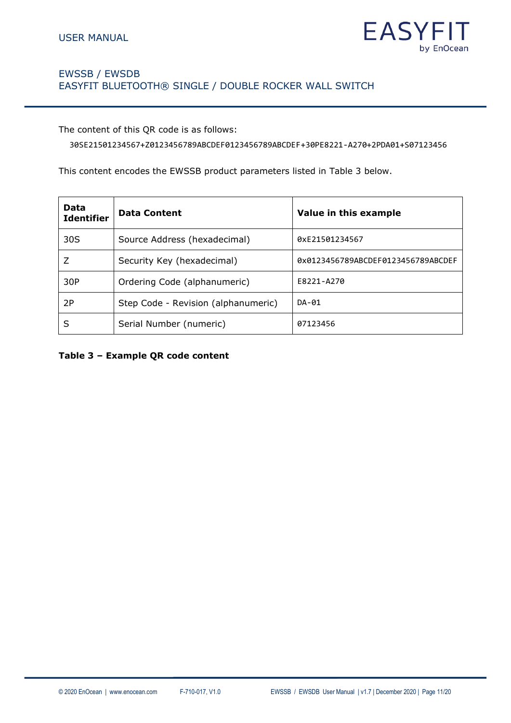

The content of this QR code is as follows:

30SE21501234567+Z0123456789ABCDEF0123456789ABCDEF+30PE8221-A270+2PDA01+S07123456

This content encodes the EWSSB product parameters listed in [Table 3](#page-10-0) below.

| Data<br><b>Identifier</b> | <b>Data Content</b>                 | Value in this example              |  |  |
|---------------------------|-------------------------------------|------------------------------------|--|--|
| 30S                       | Source Address (hexadecimal)        | 0xE21501234567                     |  |  |
| Ζ                         | Security Key (hexadecimal)          | 0x0123456789ABCDEF0123456789ABCDEF |  |  |
| 30P                       | Ordering Code (alphanumeric)        | E8221-A270                         |  |  |
| 2P                        | Step Code - Revision (alphanumeric) | DA-01                              |  |  |
| S                         | Serial Number (numeric)             | 07123456                           |  |  |

<span id="page-10-0"></span>**Table 3 – Example QR code content**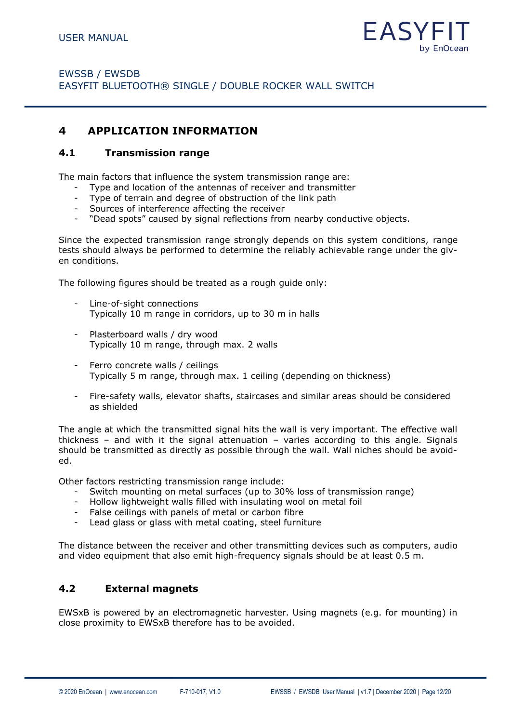

# <span id="page-11-0"></span>**4 APPLICATION INFORMATION**

#### <span id="page-11-1"></span>**4.1 Transmission range**

The main factors that influence the system transmission range are:

- Type and location of the antennas of receiver and transmitter
- Type of terrain and degree of obstruction of the link path
- Sources of interference affecting the receiver
- "Dead spots" caused by signal reflections from nearby conductive objects.

Since the expected transmission range strongly depends on this system conditions, range tests should always be performed to determine the reliably achievable range under the given conditions.

The following figures should be treated as a rough guide only:

- Line-of-sight connections Typically 10 m range in corridors, up to 30 m in halls
- Plasterboard walls / dry wood Typically 10 m range, through max. 2 walls
- Ferro concrete walls / ceilings Typically 5 m range, through max. 1 ceiling (depending on thickness)
- Fire-safety walls, elevator shafts, staircases and similar areas should be considered as shielded

The angle at which the transmitted signal hits the wall is very important. The effective wall thickness – and with it the signal attenuation – varies according to this angle. Signals should be transmitted as directly as possible through the wall. Wall niches should be avoided.

Other factors restricting transmission range include:

- Switch mounting on metal surfaces (up to 30% loss of transmission range)
- Hollow lightweight walls filled with insulating wool on metal foil
- False ceilings with panels of metal or carbon fibre
- Lead glass or glass with metal coating, steel furniture

The distance between the receiver and other transmitting devices such as computers, audio and video equipment that also emit high-frequency signals should be at least 0.5 m.

#### <span id="page-11-2"></span>**4.2 External magnets**

EWSxB is powered by an electromagnetic harvester. Using magnets (e.g. for mounting) in close proximity to EWSxB therefore has to be avoided.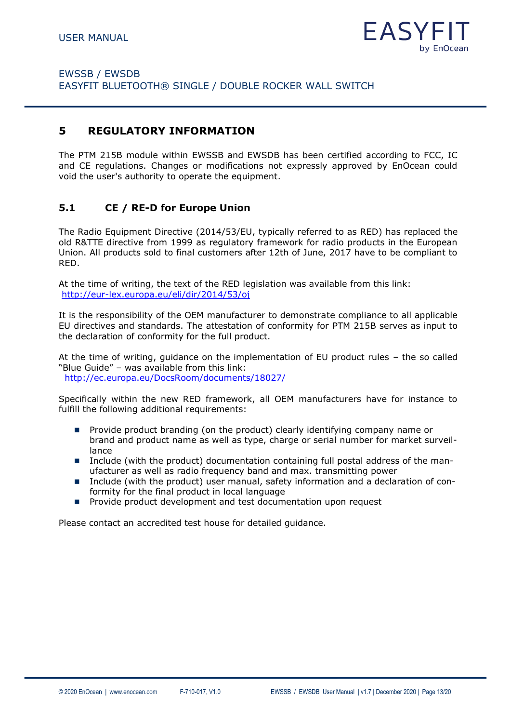

# <span id="page-12-0"></span>**5 REGULATORY INFORMATION**

The PTM 215B module within EWSSB and EWSDB has been certified according to FCC, IC and CE regulations. Changes or modifications not expressly approved by EnOcean could void the user's authority to operate the equipment.

#### <span id="page-12-1"></span>**5.1 CE / RE-D for Europe Union**

The Radio Equipment Directive (2014/53/EU, typically referred to as RED) has replaced the old R&TTE directive from 1999 as regulatory framework for radio products in the European Union. All products sold to final customers after 12th of June, 2017 have to be compliant to RED.

At the time of writing, the text of the RED legislation was available from this link: <http://eur-lex.europa.eu/eli/dir/2014/53/oj>

It is the responsibility of the OEM manufacturer to demonstrate compliance to all applicable EU directives and standards. The attestation of conformity for PTM 215B serves as input to the declaration of conformity for the full product.

At the time of writing, guidance on the implementation of EU product rules – the so called "Blue Guide" – was available from this link: <http://ec.europa.eu/DocsRoom/documents/18027/>

Specifically within the new RED framework, all OEM manufacturers have for instance to fulfill the following additional requirements:

- Provide product branding (on the product) clearly identifying company name or brand and product name as well as type, charge or serial number for market surveillance
- Include (with the product) documentation containing full postal address of the manufacturer as well as radio frequency band and max. transmitting power
- Include (with the product) user manual, safety information and a declaration of conformity for the final product in local language
- Provide product development and test documentation upon request

Please contact an accredited test house for detailed guidance.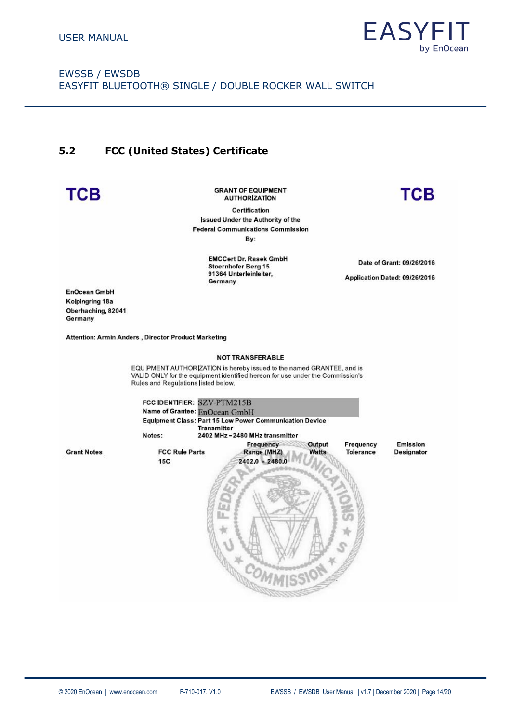

**TCB** 

# EWSSB / EWSDB EASYFIT BLUETOOTH® SINGLE / DOUBLE ROCKER WALL SWITCH

#### <span id="page-13-0"></span>**5.2 FCC (United States) Certificate**

# **TCB**

**GRANT OF EQUIPMENT AUTHORIZATION** 

Certification **Issued Under the Authority of the Federal Communications Commission** By:

> **EMCCert Dr. Rasek GmbH** Stoernhofer Berg 15 91364 Unterleinleiter, Germany

Date of Grant: 09/26/2016

Application Dated: 09/26/2016

**EnOcean GmbH** Kolpingring 18a Oberhaching, 82041 Germany

Attention: Armin Anders, Director Product Marketing

#### **NOT TRANSFERABLE**

EQUIPMENT AUTHORIZATION is hereby issued to the named GRANTEE, and is VALID ONLY for the equipment identified hereon for use under the Commission's Rules and Regulations listed below.

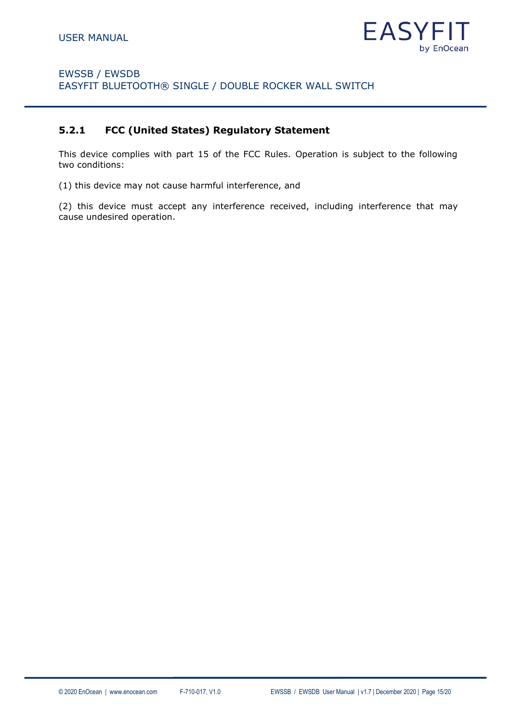

#### <span id="page-14-0"></span>**5.2.1 FCC (United States) Regulatory Statement**

This device complies with part 15 of the FCC Rules. Operation is subject to the following two conditions:

(1) this device may not cause harmful interference, and

(2) this device must accept any interference received, including interference that may cause undesired operation.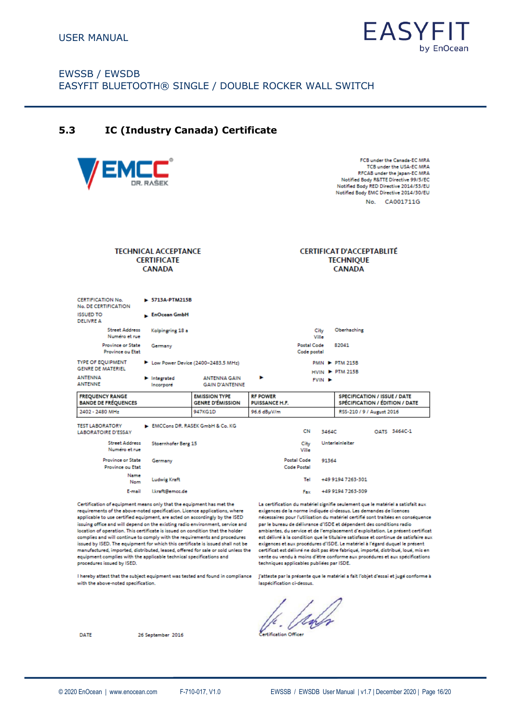

<span id="page-15-0"></span>**5.3 IC (Industry Canada) Certificate**

| /EMCC                                                                                    |                                                                    |                                                 |                                          |                            |             |                                                                       | FCB under the Canada-EC MR/<br>TCB under the USA-EC MR/<br>RFCAB under the Japan-EC MR/<br>Notified Body R&TTE Directive 99/5/EC<br>Notified Body RED Directive 2014/53/EL<br>Notified Body EMC Directive 2014/30/EL<br>CA001711G<br>No. |
|------------------------------------------------------------------------------------------|--------------------------------------------------------------------|-------------------------------------------------|------------------------------------------|----------------------------|-------------|-----------------------------------------------------------------------|------------------------------------------------------------------------------------------------------------------------------------------------------------------------------------------------------------------------------------------|
|                                                                                          | <b>TECHNICAL ACCEPTANCE</b><br><b>CERTIFICATE</b><br><b>CANADA</b> |                                                 |                                          |                            |             | <b>CERTIFICAT D'ACCEPTABLITÉ</b><br><b>TECHNIOUE</b><br><b>CANADA</b> |                                                                                                                                                                                                                                          |
| <b>CERTIFICATION No.</b><br>No. DE CERTIFICATION<br><b>ISSUED TO</b><br><b>DELIVRE A</b> | > 5713A-PTM215B<br>EnOcean GmbH                                    |                                                 |                                          |                            |             |                                                                       |                                                                                                                                                                                                                                          |
| <b>Street Address</b>                                                                    | Kolpingring 18 a                                                   |                                                 |                                          |                            | City        | Oberhaching                                                           |                                                                                                                                                                                                                                          |
| Numéro et rue<br><b>Province or State</b>                                                |                                                                    |                                                 |                                          | Postal Code                | Ville       | 82041                                                                 |                                                                                                                                                                                                                                          |
| Province ou Etat                                                                         | Germany                                                            |                                                 |                                          | Code postal                |             |                                                                       |                                                                                                                                                                                                                                          |
| <b>TYPE OF EQUIPMENT</b><br><b>GENRE DE MATERIEL</b>                                     |                                                                    | Low Power Device (2400-2483.5 MHz)              |                                          |                            |             | <b>PMN P-PTM 215B</b>                                                 |                                                                                                                                                                                                                                          |
| <b>ANTENNA</b><br><b>ANTENNE</b>                                                         | $\blacktriangleright$ Integrated<br>Incorporé                      | <b>ANTENNA GAIN</b><br><b>GAIN D'ANTENNE</b>    | ь                                        |                            | <b>FVIN</b> | <b>HVIN P PTM 215B</b>                                                |                                                                                                                                                                                                                                          |
| <b>FREQUENCY RANGE</b><br><b>BANDE DE FRÉQUENCES</b>                                     |                                                                    | <b>EMISSION TYPE</b><br><b>GENRE D'ÉMISSION</b> | <b>RF POWER</b><br><b>PUISSANCE H.F.</b> |                            |             |                                                                       | <b>SPECIFICATION / ISSUE / DATE</b><br>SPÉCIFICATION / ÉDITION / DATE                                                                                                                                                                    |
| 2402 - 2480 MHz                                                                          |                                                                    | 947KG1D                                         | 96.6 dBµV/m                              |                            |             |                                                                       | RSS-210 / 9 / August 2016                                                                                                                                                                                                                |
| <b>TEST LABORATORY</b><br><b>LABORATOIRE D'ESSAY</b>                                     |                                                                    | EMCCons DR, RASEK GmbH & Co. KG                 |                                          | CN                         | 3464C       |                                                                       | OATS 3464C-1                                                                                                                                                                                                                             |
| <b>Street Address</b><br>Numéro et rue                                                   | Stoernhofer Berg 15                                                |                                                 |                                          | City<br>Ville              |             | Unterleinleiter                                                       |                                                                                                                                                                                                                                          |
| Province or State<br>Province ou Etat                                                    | Germany                                                            |                                                 |                                          | Postal Code<br>Code Postal | 91364       |                                                                       |                                                                                                                                                                                                                                          |
| Name<br><b>Nom</b>                                                                       | <b>Ludwig Kraft</b>                                                |                                                 |                                          | Tel                        |             | +49 9194 7263-301                                                     |                                                                                                                                                                                                                                          |
| E-mail                                                                                   | Lkraft@emcc.de                                                     |                                                 |                                          | Fax                        |             | +49 9194 7263-309                                                     |                                                                                                                                                                                                                                          |

Certification of equipment means only that the equipment has met the requirements of the above-noted specification. Licence applications, where applicable to use certified equipment, are acted on accordingly by the ISED issuing office and will depend on the existing radio environment, service and location of operation. This certificate is issued on condition that the holder complies and will continue to comply with the requirements and procedures issued by ISED. The equipment for which this certificate is issued shall not be<br>manufactured, imported, distributed, leased, offered for sale or sold unless the equipment complies with the applicable technical specifications and procedures issued by ISED.

I hereby attest that the subject equipment was tested and found in compliance with the above-noted specification.

La certification du matériel signifie seulement que le matériel a satisfait aux exigences de la norme indiquée ci-dessus. Les demandes de licences nécessaires pour l'utilisation du matériel certifié sont traitées en conséquence par le bureau de délivrance d'ISDE et dépendent des conditions radio ambiantes, du service et de l'emplacement d'exploitation. Le présent certificat est délivré à la condition que le titulaire satisfasse et continue de satisfaire aux exigences et aux procédures d'ISDE. Le matériel à l'égard duquel le présent certificat est délivré ne doit pas être fabriqué, importé, distribué, loué, mis en vente ou vendu à moins d'être conforme aux procédures et aux spécifications techniques applicables publiées par ISDE.

j'atteste par la présente que le matériel a fait l'objet d'essai et jugé conforme à laspécification ci-dessus.

ertification Officer

26 September 2016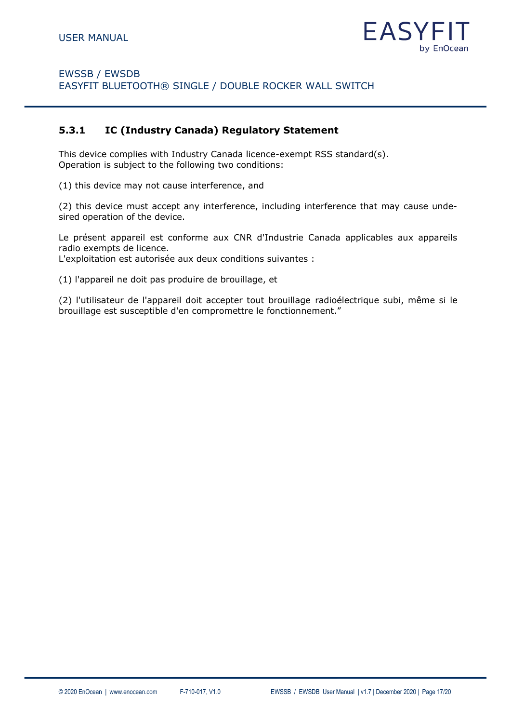

#### <span id="page-16-0"></span>**5.3.1 IC (Industry Canada) Regulatory Statement**

This device complies with Industry Canada licence-exempt RSS standard(s). Operation is subject to the following two conditions:

(1) this device may not cause interference, and

(2) this device must accept any interference, including interference that may cause undesired operation of the device.

Le présent appareil est conforme aux CNR d'Industrie Canada applicables aux appareils radio exempts de licence.

L'exploitation est autorisée aux deux conditions suivantes :

(1) l'appareil ne doit pas produire de brouillage, et

(2) l'utilisateur de l'appareil doit accepter tout brouillage radioélectrique subi, même si le brouillage est susceptible d'en compromettre le fonctionnement."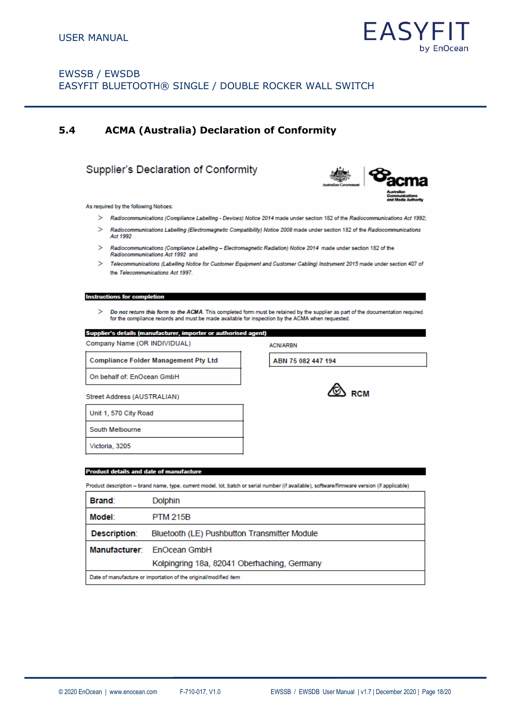

# <span id="page-17-0"></span>**5.4 ACMA (Australia) Declaration of Conformity**

#### Supplier's Declaration of Conformity



As required by the following Notices:

- > Radiocommunications (Compliance Labelling Devices) Notice 2014 made under section 182 of the Radiocommunications Act 1992;
- > Radiocommunications Labelling (Electromagnetic Compatibility) Notice 2008 made under section 182 of the Radiocommunications Act 1992
- Radiocommunications (Compliance Labelling Electromagnetic Radiation) Notice 2014 made under section 182 of the  $\mathbf{S}$ Radiocommunications Act 1992 and
- > Telecommunications (Labelling Notice for Customer Equipment and Customer Cabling) Instrument 2015 made under section 407 of the Telecommunications Act 1997.

**Instructions for completi** 

> Do not return this form to the ACMA. This completed form must be retained by the supplier as part of the documentation required<br>for the compliance records and must be made available for inspection by the ACMA when reques

**ACN/ARBN** 

ABN 75 082 447 194

 $\circledcirc$  rcm

| Supplier's details (manufacturer, importer or authorised agent) |  |
|-----------------------------------------------------------------|--|
|-----------------------------------------------------------------|--|

Company Name (OR INDIVIDUAL)

**Compliance Folder Management Pty Ltd** 

On behalf of: EnOcean GmbH

Street Address (AUSTRALIAN)

Unit 1, 570 City Road

South Melbourne

Victoria, 3205

I

#### **Product details and date of manufacture**

Product description - brand name, type, current model, lot, batch or serial number (if available), software/firmware version (if applicable)

| Brand:                                                           | <b>Dolphin</b>                               |
|------------------------------------------------------------------|----------------------------------------------|
| Model:                                                           | <b>PTM 215B</b>                              |
| Description:                                                     | Bluetooth (LE) Pushbutton Transmitter Module |
| <b>Manufacturer:</b>                                             | <b>EnOcean GmbH</b>                          |
|                                                                  | Kolpingring 18a, 82041 Oberhaching, Germany  |
| Date of manufacture or importation of the original/modified item |                                              |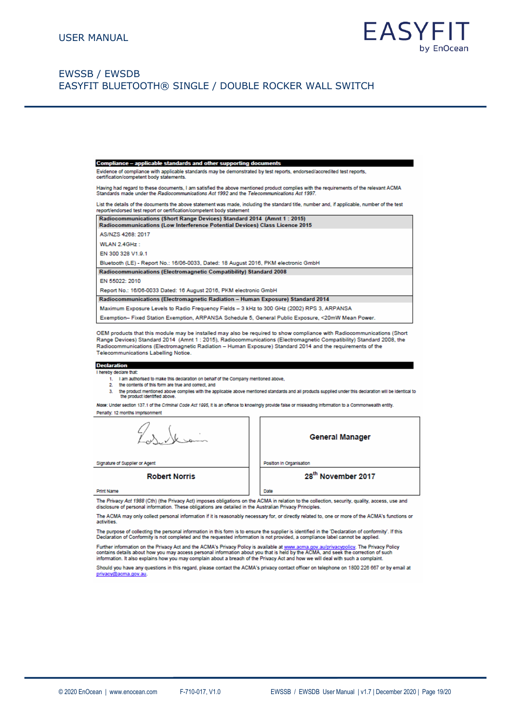

#### Compliance - applicable standards and other supporting doc

Evidence of compliance with applicable standards may be demonstrated by test reports, endorsed/accredited test reports,

Having had regard to these documents, I am satisfied the above mentioned product complies with the requirements of the relevant ACMA<br>Standards made under the Radiocommunications Act 1992 and the Telecommunications Act 1997

List the details of the documents the above statement was made, including the standard title, number and, if applicable, number of the test<br>report/endorsed test report or certification/competent body statement

| Radiocommunications (Short Range Devices) Standard 2014 (Amnt 1 : 2015)<br>Radiocommunications (Low Interference Potential Devices) Class Licence 2015 |
|--------------------------------------------------------------------------------------------------------------------------------------------------------|
| AS/NZS 4268: 2017                                                                                                                                      |
| WLAN 2.4GHz:                                                                                                                                           |
| EN 300 328 V1.9.1                                                                                                                                      |
| Bluetooth (LE) - Report No.: 16/06-0033, Dated: 18 August 2016, PKM electronic GmbH                                                                    |
| <b>Radiocommunications (Electromagnetic Compatibility) Standard 2008</b>                                                                               |
| EN 55022: 2010                                                                                                                                         |
| Report No.: 16/06-0033 Dated: 16 August 2016, PKM electronic GmbH                                                                                      |
| <b>Radiocommunications (Electromagnetic Radiation - Human Exposure) Standard 2014</b>                                                                  |
| Maximum Exposure Levels to Radio Frequency Fields - 3 kHz to 300 GHz (2002) RPS 3, ARPANSA                                                             |
| Exemption- Fixed Station Exemption, ARPANSA Schedule 5, General Public Exposure, <20mW Mean Power.                                                     |

OEM products that this module may be installed may also be required to show compliance with Radiocommunications (Short Range Devices) Standard 2014 (Amnt 1 : 2015), Radiocommunications (Electromagnetic Compatibility) Standard 2008, the Radiocommunications (Electromagnetic Radiation - Human Exposure) Standard 2014 and the requirements of the Telecommunications Labelling Notice.

#### **Declaration**

- I hereby declare that:
	- 1. I am authorised to make this declaration on behalf of the Company mentioned above,
	- $\overline{2}$ the contents of this form are true and correct, and
	- 3. the product mentioned above complies with the applicable above mentioned standards and all products supplied under this declaration will be identical to the product identified above

Note: Under section 137.1 of the Criminal Code Act 1995, it is an offence to knowingly provide false or misleading information to a Commonwealth entity. Penalty: 12 months Imprisonment

**General Manager** Position in Organisation 28<sup>th</sup> November 2017

Signature of Supplier or Agen

**Robert Norris** 

**Print Name** 

The Privacy Act 1988 (Cth) (the Privacy Act) imposes obligations on the ACMA in relation to the collection, security, quality, access, use and disclosure of personal information. These obligations are detailed in the Australian Privacy Principles.

Date

The ACMA may only collect personal information if it is reasonably necessary for, or directly related to, one or more of the ACMA's functions or activities.

The purpose of collecting the personal information in this form is to ensure the supplier is identified in the 'Declaration of conformity'. If this<br>Declaration of Conformity is not completed and the requested information i

Further information on the Privacy Act and the ACMA's Privacy Policy is available at <u>www.acma.gov.au/privacypolicy</u>. The Privacy Pol<br>contains details about how you may access personal information about you that is held by **olicy. The Privacy Policy** 

Should you have any questions in this regard, please contact the ACMA's privacy contact officer on telephone on 1800 226 667 or by email at privacy@acma.gov.au